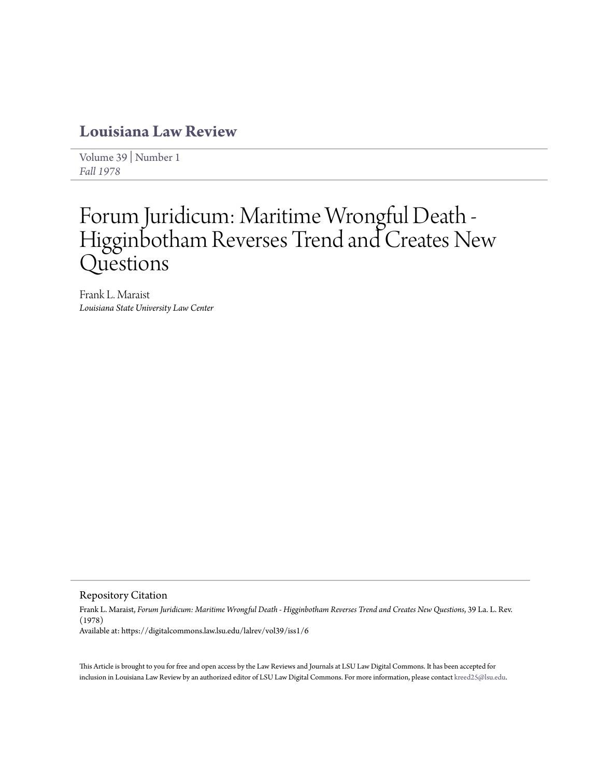# **[Louisiana Law Review](https://digitalcommons.law.lsu.edu/lalrev)**

[Volume 39](https://digitalcommons.law.lsu.edu/lalrev/vol39) | [Number 1](https://digitalcommons.law.lsu.edu/lalrev/vol39/iss1) *[Fall 1978](https://digitalcommons.law.lsu.edu/lalrev/vol39/iss1)*

# Forum Juridicum: Maritime Wrongful Death - Higginbotham Reverses Trend and Creates New Questions

Frank L. Maraist *Louisiana State University Law Center*

Repository Citation

Frank L. Maraist, *Forum Juridicum: Maritime Wrongful Death - Higginbotham Reverses Trend and Creates New Questions*, 39 La. L. Rev. (1978) Available at: https://digitalcommons.law.lsu.edu/lalrev/vol39/iss1/6

This Article is brought to you for free and open access by the Law Reviews and Journals at LSU Law Digital Commons. It has been accepted for inclusion in Louisiana Law Review by an authorized editor of LSU Law Digital Commons. For more information, please contact [kreed25@lsu.edu](mailto:kreed25@lsu.edu).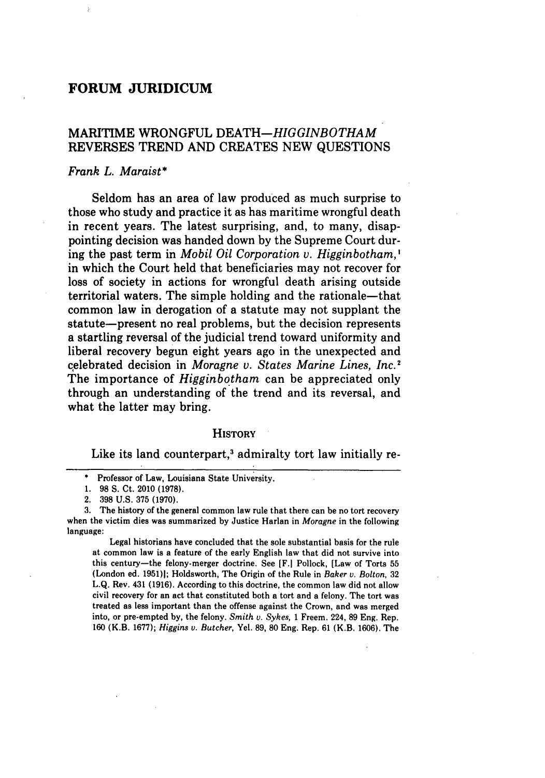## **FORUM JURIDICUM**

### MARITIME WRONGFUL *DEATH-HIGGINBOTHAM* REVERSES TREND **AND CREATES NEW QUESTIONS**

#### *Frank L. Maraist\**

Seldom has an area of law produced as much surprise to those who study and practice it as has maritime wrongful death in recent years. The latest surprising, and, to many, disappointing decision was handed down **by** the Supreme Court during the past term in *Mobil Oil Corporation v. Higginbotham,'* in which the Court held that beneficiaries may not recover for loss of society in actions for wrongful death arising outside territorial waters. The simple holding and the rationale-that common law in derogation of a statute may not supplant the statute—present no real problems, but the decision represents a startling reversal of the judicial trend toward uniformity and liberal recovery begun eight years ago in the unexpected and celebrated decision in *Moragne v. States Marine Lines, Inc.'* The importance of *Higginbotham* can be appreciated only through an understanding of the trend and its reversal, and what the latter may bring.

#### **HISTORY**

Like its land counterpart,<sup>3</sup> admiralty tort law initially re-

Legal historians have concluded that the sole substantial basis for the rule at common law is a feature of the early English law that did not survive into this century-the felony-merger doctrine. See [F.1 Pollock, [Law of Torts **55** (London ed. **1951)1;** Holdsworth, The Origin of the Rule in *Baker v. Bolton,* **32 L.Q.** Rev. 431 **(1916).** According to this doctrine, the common law did not allow civil recovery for an act that constituted both a tort and a felony. The tort was treated as less important than the offense against the Crown, and was merged into, or pre-empted **by,** the felony. *Smith v. Sykes,* **1** Freem. 224, **89** Eng. Rep. **160** (K.B. **1677);** *Higgins v.* Butcher, Yel. **89, 80** Eng. Rep. **61** (K.B. **1606).** The

**<sup>\*</sup>** Professor of Law, Louisiana State University.

**<sup>1. 98</sup> S.** Ct. 2010 **(1978).**

<sup>2.</sup> **398 U.S. 375 (1970).**

**<sup>3.</sup>** The history of the general common law rule that there can be no tort recovery when the victim dies was summarized **by** Justice Harlan in *Moragne* in the following language: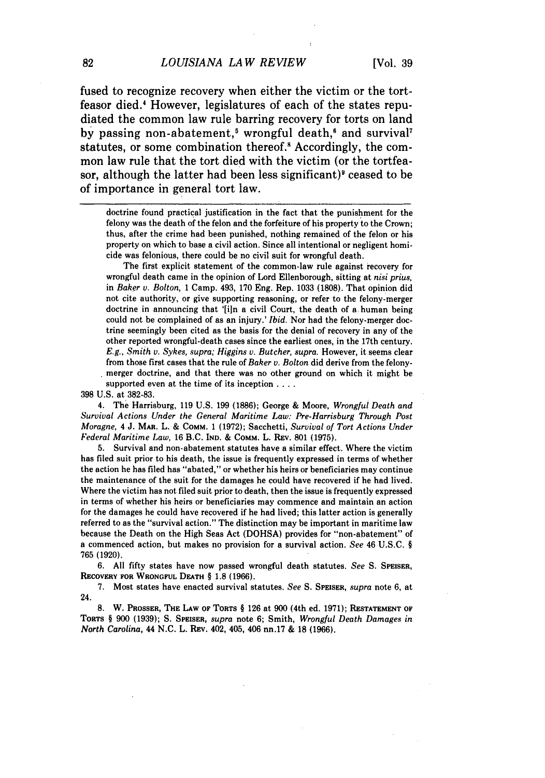fused to recognize recovery when either the victim or the tortfeasor died.' However, legislatures of each of the states repudiated the common law rule barring recovery for torts on land by passing non-abatement,<sup>5</sup> wrongful death,<sup>6</sup> and survival<sup>7</sup> statutes, or some combination thereof.<sup>8</sup> Accordingly, the common law rule that the tort died with the victim (or the tortfeasor, although the latter had been less significant)<sup>9</sup> ceased to be of importance in general tort law.

doctrine found practical justification in the fact that the punishment for the felony was the death of the felon and the forfeiture of his property to the Crown; thus, after the crime had been punished, nothing remained of the felon or his property on which to base a civil action. Since all intentional or negligent homicide was felonious, there could be no civil suit for wrongful death.

The first explicit statement of the common-law rule against recovery for wrongful death came in the opinion of Lord Ellenborough, sitting at *nisi prius,* in *Baker v. Bolton,* 1 Camp. 493, 170 Eng. Rep. 1033 (1808). That opinion did not cite authority, or give supporting reasoning, or refer to the felony-merger doctrine in announcing that '[in a civil Court, the death of a human being could not be complained of as an injury.' Ibid. Nor had the felony-merger doctrine seemingly been cited as the basis for the denial of recovery in any of the other reported wrongful-death cases since the earliest ones, in the 17th century. *E.g., Smith v.* Sykes, supra; Higgins *v. Butcher, supra.* However, it seems clear from those first cases that the rule of Baker v. Bolton did derive from the felonymerger doctrine, and that there **was** no other ground on which **it** might **be** supported even at the time of its inception **....**

398 U.S. at 382-83.

4. The Harrisburg, 119 U.S. 199 **(1886);** George & Moore, Wrongful Death and Survival Actions Under the General Maritime Law: Pre-Harrisburg Through Post *Moragne, 4* J. MAR. L. & COMM. 1 (1972); Sacchetti, *Survival of Tort Actions Under Federal Maritime Law,* 16 B.C. **IND.** & COMM. L. REv. 801 (1975).

5. Survival and non-abatement statutes have a similar effect. Where the victim has filed suit prior to his death, the issue is frequently expressed in terms of whether the action he has filed has "abated," or whether his heirs or beneficiaries may continue the maintenance of the suit for the damages he could have recovered if he had lived. Where the victim has not filed suit prior to death, then the issue is frequently expressed in terms of whether his heirs or beneficiaries may commence and maintain an action for the damages he could have recovered if he had lived; this latter action is generally referred to as the "survival action." The distinction may be important in maritime law because the Death on the High Seas Act (DOHSA) provides for "non-abatement" of a commenced action, but makes no provision for a survival action. See 46 U.S.C. § 765 (1920).

6. **All** fifty states have now passed wrongful death statutes. *See* **S.** SPEISER, **RECOVERY** FOR **WRONGFUL DEATH** § **1.8 (1966).**

**7.** Most states have enacted survival statutes. *See* **S. SPEISER,** *supra* note **6,** at 24.

**8.** W. **PROSSER, THE LAW OF TORTS** § **126** at **900** (4th ed. **1971); RESTATEMENT OF TORTS** § **900 (1939); S. SPEISER,** *supra* note **6;** Smith, Wrongful Death Damages *in North Carolina,* 44 N.C. L. REV. 402, 405, 406 nn.17 & 18 **(1966).**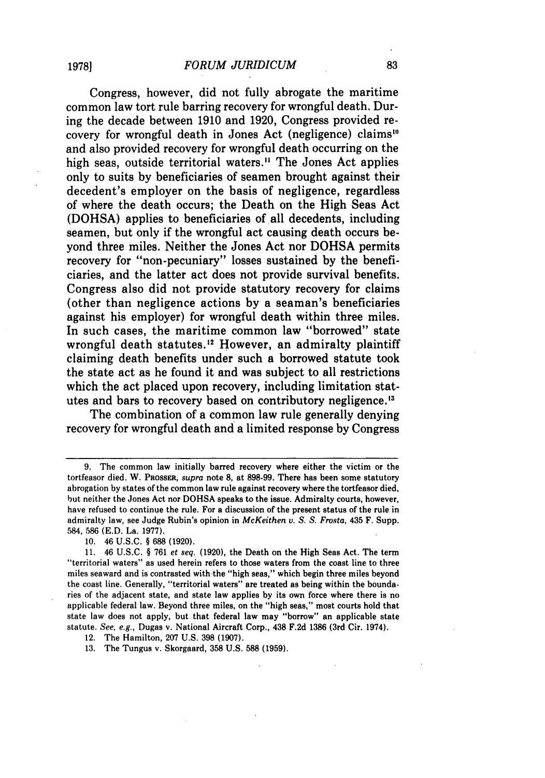Congress, however, did not fully abrogate the maritime common law tort rule barring recovery for wrongful death. During the decade between 1910 and 1920, Congress provided recovery for wrongful death in Jones Act (negligence) claims"' and also provided recovery for wrongful death occurring on the high seas, outside territorial waters.<sup>11</sup> The Jones Act applies only to suits by beneficiaries of seamen brought against their decedent's employer on the basis of negligence, regardless of where the death occurs; the Death on the High Seas Act (DOHSA) applies to beneficiaries of all decedents, including seamen, but only if the wrongful act causing death occurs beyond three miles. Neither the Jones Act nor DOHSA permits recovery for "non-pecuniary" losses sustained by the beneficiaries, and the latter act does not provide survival benefits. Congress also did not provide statutory recovery for claims (other than negligence actions by a seaman's beneficiaries against his employer) for wrongful death within three miles. In such cases, the maritime common law "borrowed" state wrongful death statutes.<sup>12</sup> However, an admiralty plaintiff claiming death benefits under such a borrowed statute took the state act as he found it and was subject to all restrictions which the act placed upon recovery, including limitation statutes and bars to recovery based on contributory negligence.<sup>13</sup>

The combination of a common law rule generally denying recovery for wrongful death and a limited response by Congress

12. The Hamilton, 207 U.S. 398 (1907).

13. The Tungus v. Skorgaard, 358 U.S. 588 (1959).

<sup>9.</sup> The common law initially barred recovery where either the victim or the tortfeasor died. W. PROSSER, *supra* note **8,** at 898-99. There has been some statutory abrogation by states of the common law rule against recovery where the tortfeasor died, but neither the Jones Act nor DOHSA speaks to the issue. Admiralty courts, however, have refused to continue the rule. For a discussion of the present status of the rule in admiralty law, see Judge Rubin's opinion in *McKeithen v. S. S. Frosta,* 435 F. Supp. 584, 586 **(E.D.** La. 1977).

**<sup>10.</sup>** 46 U.S.C. § 688 (1920).

<sup>11. 46</sup> U.S.C. § 761 *et seq.* (1920), the Death on the High Seas Act. The term "territorial waters" as used herein refers to those waters from the coast line to three miles seaward and is contrasted with the "high seas," which begin three miles beyond the coast line. Generally, "territorial waters" are treated as being within the boundaries of the adjacent state, and state law applies by its own force where there is no applicable federal law. Beyond three miles, on the "high seas," most courts hold that state law does not apply, but that federal law may "borrow" an applicable state statute. *See, e.g.,* Dugas v. National Aircraft Corp., 438 F.2d 1386 (3rd Cir. 1974).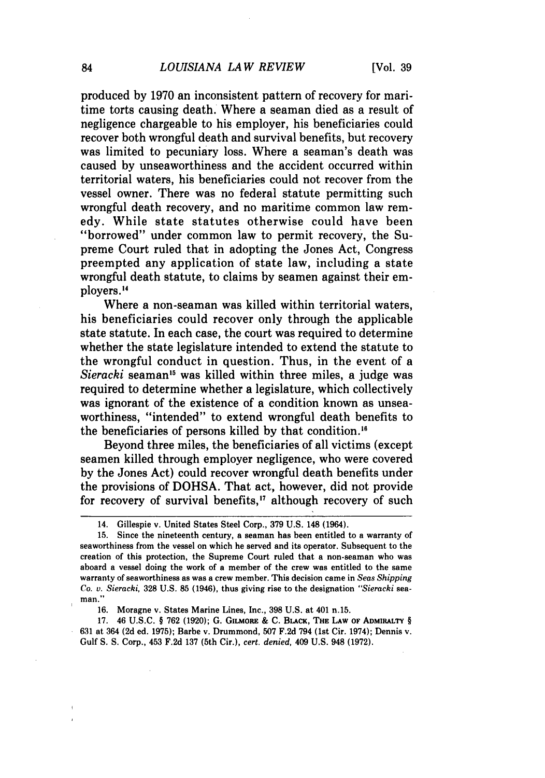produced by 1970 an inconsistent pattern of recovery for maritime torts causing death. Where a seaman died as a result of negligence chargeable to his employer, his beneficiaries could recover both wrongful death and survival benefits, but recovery was limited to pecuniary loss. Where a seaman's death was caused by unseaworthiness and the accident occurred within territorial waters, his beneficiaries could not recover from the vessel owner. There was no federal statute permitting such wrongful death recovery, and no maritime common law remedy. While state statutes otherwise could have been "borrowed" under common law to permit recovery, the Supreme Court ruled that in adopting the Jones Act, Congress preempted any application of state law, including a state wrongful death statute, to claims by seamen against their employers.<sup>14</sup>

Where a non-seaman was killed within territorial waters, his beneficiaries could recover only through the applicable state statute. In each case, the court was required to determine whether the state legislature intended to extend the statute to the wrongful conduct in question. Thus, in the event of a *Sieracki* seaman<sup>15</sup> was killed within three miles, a judge was required to determine whether a legislature, which collectively was ignorant of the existence of a condition known as unseaworthiness, "intended" to extend wrongful death benefits to the beneficiaries of persons killed by that condition.

Beyond three miles, the beneficiaries of all victims (except seamen killed through employer negligence, who were covered by the Jones Act) could recover wrongful death benefits under the provisions of DOHSA. That act, however, did not provide for recovery of survival benefits,<sup>17</sup> although recovery of such

<sup>14.</sup> Gillespie v. United States Steel Corp., 379 U.S. 148 (1964).

<sup>15.</sup> Since the nineteenth century, a seaman has been entitled to a warranty of seaworthiness from the vessel on which he served and its operator. Subsequent to the creation of this protection, the Supreme Court ruled that a non-seaman who was aboard a vessel doing the work of a member of the crew was entitled to the same warranty of seaworthiness as was a crew member. This decision came in *Seas Shipping Co. v. Sieracki,* **328** U.S. 85 (1946), thus giving rise to the designation *"Sieracki* seaman."

<sup>16.</sup> Moragne v. States Marine Lines, Inc., 398 U.S. at 401 n.15.

**<sup>17.</sup>** 46 **U.S.C.** § **762 (1920); G. GILMORE** & **C.** BLACK, **THE LAW OF ADMIRALTY** § **631** at 364 **(2d** ed. **1975);** Barbe v. Drummond, **507 F.2d** 794 (1st Cir. 1974); Dennis v. Gulf **S. S.** Corp., 453 **F.2d 137** (5th Cir.), *cert. denied,* 409 **U.S.** 948 **(1972).**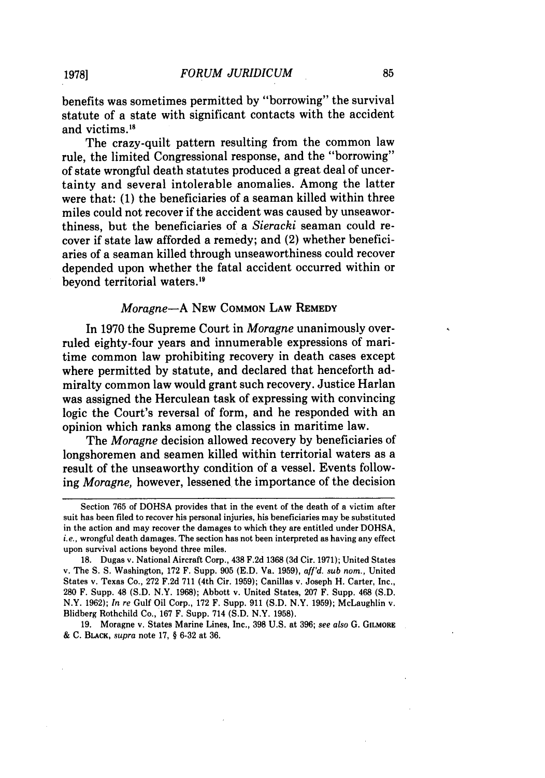benefits was sometimes permitted by "borrowing" the survival statute of a state with significant contacts with the accident and victims.'<sup>8</sup>

The crazy-quilt pattern resulting from the common law rule, the limited Congressional response, and the "borrowing" of state wrongful death statutes produced a great deal of uncertainty and several intolerable anomalies. Among the latter were that: (1) the beneficiaries of a seaman killed within three miles could not recover if the accident was caused by unseaworthiness, but the beneficiaries of a *Sieracki* seaman could recover if state law afforded a remedy; and (2) whether beneficiaries of a seaman killed through unseaworthiness could recover depended upon whether the fatal accident occurred within or beyond territorial waters.'9

#### *Moragne-A* **NEW COMMON LAW** REMEDY

In **1970** the Supreme Court in *Moragne* unanimously overruled eighty-four years and innumerable expressions of maritime common law prohibiting recovery in death cases except where permitted **by** statute, and declared that henceforth admiralty common law would grant such recovery. Justice Harlan was assigned the Herculean task of expressing with convincing logic the Court's reversal of form, and he responded with an opinion which ranks among the classics in maritime law.

The *Moragne* decision allowed recovery **by** beneficiaries of longshoremen and seamen killed within territorial waters as a result of the unseaworthy condition of a vessel. Events following *Moragne,* however, lessened the importance of the decision

**19.** Moragne v. States Marine Lines, Inc., **398 U.S.** at **396;** *see also* **G. GILMORE & C.** BLACK, *supra* note **17,** § **6-32** at **36.**

**1978]**

Section **765** of **DOHSA** provides that in the event of the death of a victim after suit has been filed to recover his personal injuries, his beneficiaries may be substituted in the action and may recover the damages to which they are entitled under **DOHSA,** *i.e.,* wrongful death damages. The section has not been interpreted as having any effect upon survival actions beyond three miles.

**<sup>18.</sup>** Dugas v. National Aircraft Corp., 438 **F.2d 1368 (3d** Cir. **1971);** United States v. The **S. S.** Washington, **172** F. Supp. **905 (E.D. Va. 1959),** *aff'd. sub nom.,* United States v. Texas Co., **272 F.2d 711** (4th Cir. **1959);** Canillas v. Joseph H. Carter, Inc., **280** F. Supp. 48 **(S.D.** N.Y. **1968);** Abbott v. United States, **207** F. Supp. 468 **(S.D.** N.Y. **1962);** *In re* Gulf Oil Corp., **172** F. Supp. **911 (S.D.** N.Y. **1959);** McLaughlin v. Blidberg Rothchild Co., **167** F. Supp. 714 **(S.D.** N.Y. **1958).**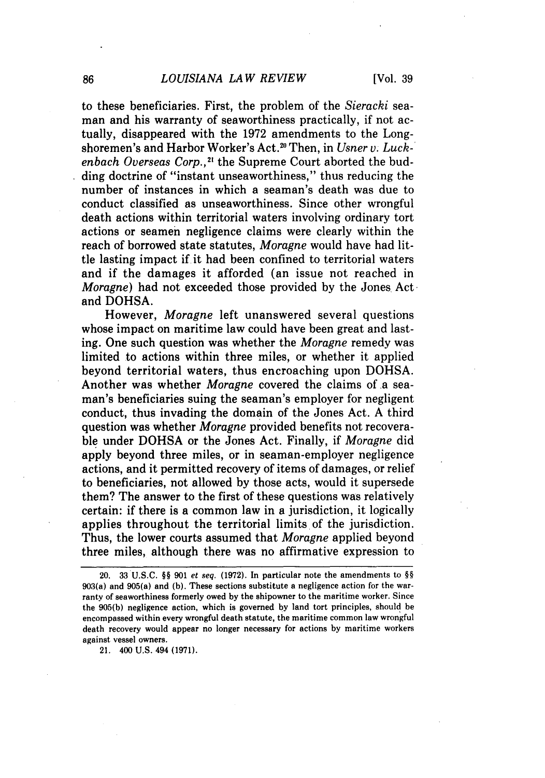to these beneficiaries. First, the problem of the *Sieracki* seaman and his warranty of seaworthiness practically, if not actually, disappeared with the 1972 amendments to the Longshoremen's and Harbor Worker's Act.<sup>20</sup> Then, in *Usner v. Luckenbach Overseas Corp.,2'* the Supreme Court aborted the budding doctrine of "instant unseaworthiness," thus reducing the number of instances in which a seaman's death was due to conduct classified as unseaworthiness. Since other wrongful death actions within territorial waters involving ordinary tort actions or seamen negligence claims were clearly within the reach of borrowed state statutes, *Moragne* would have had little lasting impact if it had been confined to territorial waters and if the damages it afforded (an issue not reached in *Moragne*) had not exceeded those provided by the Jones Act and DOHSA.

However, *Moragne* left unanswered several questions whose impact on maritime law could have been great and lasting. One such question was whether the *Moragne* remedy was limited to actions within three miles, or whether it applied beyond territorial waters, thus encroaching upon DOHSA. Another was whether *Moragne* covered the claims of a seaman's beneficiaries suing the seaman's employer for negligent conduct, thus invading the domain of the Jones Act. A third question was whether *Moragne* provided benefits not recoverable under DOHSA or the Jones Act. Finally, if *Moragne* did apply beyond three miles, or in seaman-employer negligence actions, and it permitted recovery of items of damages, or relief to beneficiaries, not allowed by those acts, would it supersede them? The answer to the first of these questions was relatively certain: if there is a common law in a jurisdiction, it logically applies throughout the territorial limits of the jurisdiction. Thus, the lower courts assumed that *Moragne* applied beyond three miles, although there was no affirmative expression to

21. 400 U.S. 494 (1971).

<sup>20.</sup> **33 U.S.C.** *§§* 901 et seq. **(1972).** In particular note the amendments to §§ 903(a) and 905(a) and **(b).** These sections substitute a negligence action for the warranty of seaworthiness formerly owed by the shipowner to the maritime worker. Since the 905(b) negligence action, which is governed by land tort principles, should be encompassed within every wrongful death statute, the maritime common law wrongful death recovery would appear no longer necessary for actions by maritime workers against vessel owners.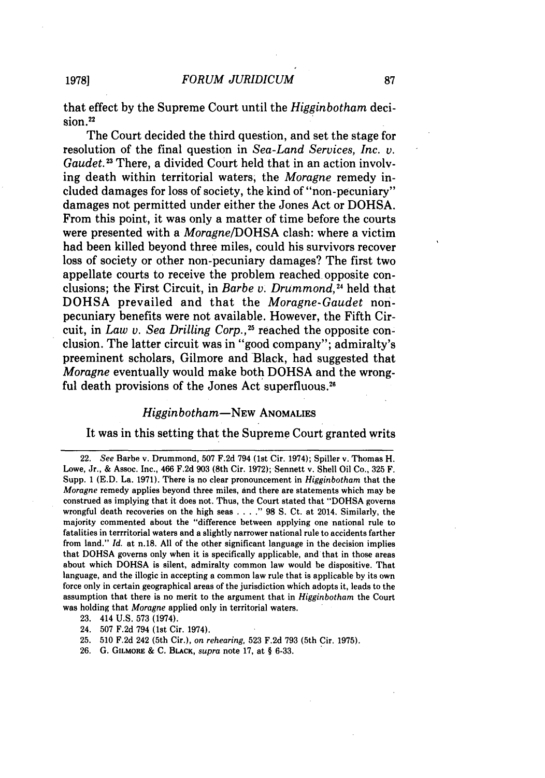that effect **by** the Supreme Court until the *Higginbotham* deci $sion.<sup>22</sup>$ 

The Court decided the third question, and set the stage for resolution of the final question in *Sea-Land Services, Inc. v. Gaudet.13* There, a divided Court held that in an action involving death within territorial waters; the *Moragne* remedy included damages for loss of society, the kind of "non-pecuniary" damages not permitted under either the Jones Act or **DOHSA.** From this point, it was only a matter of time before the courts were presented with a *Moragne/DOHSA* clash: where a victim had been killed beyond three miles, could his survivors recover loss of society or other non-pecuniary damages? The first two appellate courts to receive the problem reached opposite conclusions; the First Circuit, in *Barbe v. Drummond,4* held that **DOHSA** prevailed and that the *Moragne-Gaudet* nonpecuniary benefits were not available. However, the Fifth Circuit, in *Law v. Sea Drilling Corp.*,<sup>25</sup> reached the opposite conclusion. The latter circuit was in "good company"; admiralty's preeminent scholars, Gilmore and Black, had suggested that *Moragne* eventually would make both **DOHSA** and the wrongful death provisions of the Jones Act superfluous.<sup>26</sup>

#### Higginbotham-NEw **ANOMALIES**

#### It was in this setting that the Supreme Court granted writs

**23.** 414 **U.S. 573** (1974).

24. **507 F.2d** 794 (1st Cir. 1974).

**25. 510 F.2d** 242 (5th Cir.), on *rehearing,* **523 F.2d 793** (5th Cir. **1975).**

**26. G. GILMORE & C.** BLACK, *supra* note **17,** at **§ 6-33.**

**19781**

**<sup>22.</sup>** *See* **Barbe v.** Drummond, **507 F.2d** 794 (1st Cir. 1974); Spiller v. Thomas H. Lowe, Jr., **&** Assoc. Inc., 466 **F.2d 903** (8th Cir. **1972);** Sennett v. Shell Oil Co., **325** F. Supp. **1 (E.D.** La. **1971).** There is no clear pronouncement in *Higginbotham* that the *Moragne* remedy applies beyond three miles, and there are statements which may be construed as implying that it does not. Thus, the Court stated that **"DOHSA** governs wrongful death recoveries on the high seas **...." 98 S.** Ct. at 2014. Similarly, the majority commented about the "difference between applying one national rule to fatalities in terrritorial waters and a slightly narrower national rule to accidents farther from land." *Id.* at n.18. **All** of the other significant language in the decision implies that **DOHSA** governs only when it is specifically applicable, and that in those areas about which **DOHSA** is silent, admiralty common law would be dispositive. That language, and the illogic in accepting a common law rule that is applicable **by** its own force only in certain geographical areas of the jurisdiction which adopts it, leads to the assumption that there is no merit to the argument that in *Higginbotham* the Court was holding that *Moragne* applied only in territorial waters.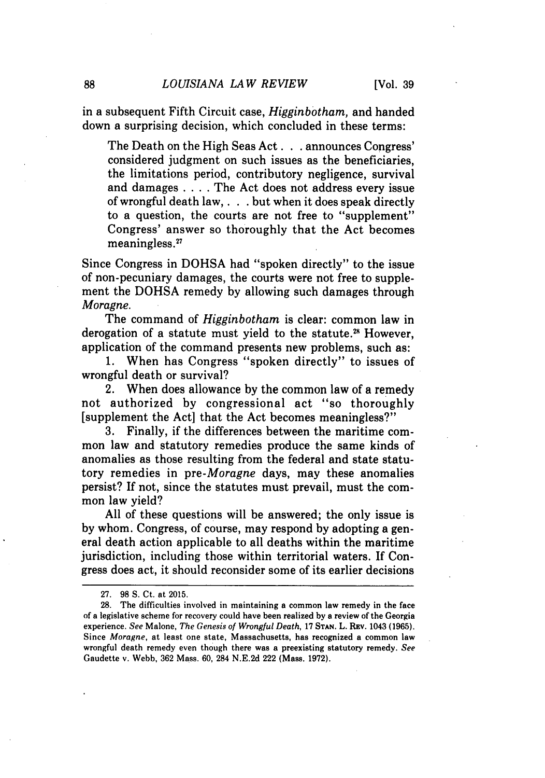in a subsequent Fifth Circuit case, *Higginbotham,* and handed down a surprising decision, which concluded in these terms:

The Death on the High Seas Act. **.** . announces Congress' considered judgment on such issues as the beneficiaries, the limitations period, contributory negligence, survival and damages .... The Act does not address every issue of wrongful death law,. **. .** but when it does speak directly to a question, the courts are not free to "supplement" Congress' answer so thoroughly that the Act becomes meaningless.27

Since Congress in DOHSA had "spoken directly" to the issue of non-pecuniary damages, the courts were not free to supplement the DOHSA remedy by allowing such damages through *Moragne.*

The command of *Higginbotham* is clear: common law in derogation of a statute must yield to the statute.<sup>28</sup> However, application of the command presents new problems, such as:

1. When has Congress "spoken directly" to issues of wrongful death or survival?

2. When does allowance by the common law of a remedy not authorized by congressional act "so thoroughly [supplement the Act] that the Act becomes meaningless?"

3. Finally, if the differences between the maritime common law and statutory remedies produce the same kinds of anomalies as those resulting from the federal and state statutory remedies in *pre-Moragne* days, may these anomalies persist? If not, since the statutes must prevail, must the common law yield?

All of these questions will be answered; the only issue is by whom. Congress, of course, may respond by adopting a general death action applicable to all deaths within the maritime jurisdiction, including those within territorial waters. If Congress does act, it should reconsider some of its earlier decisions

<sup>27. 98</sup> S. Ct. at 2015.

<sup>28.</sup> The difficulties involved in maintaining a common law remedy in the face of a legislative scheme for recovery could have been realized **by** a review of the Georgia experience. *See* Malone, *The Genesis of Wrongful Death,* 17 **STAN.** L. REv. 1043 (1965). Since *Moragne,* at least one state, Massachusetts, has recognized a common law wrongful death remedy even though there was a preexisting statutory remedy. *See* Gaudette v. Webb, 362 Mass. 60, 284 N.E.2d 222 (Mass. 1972).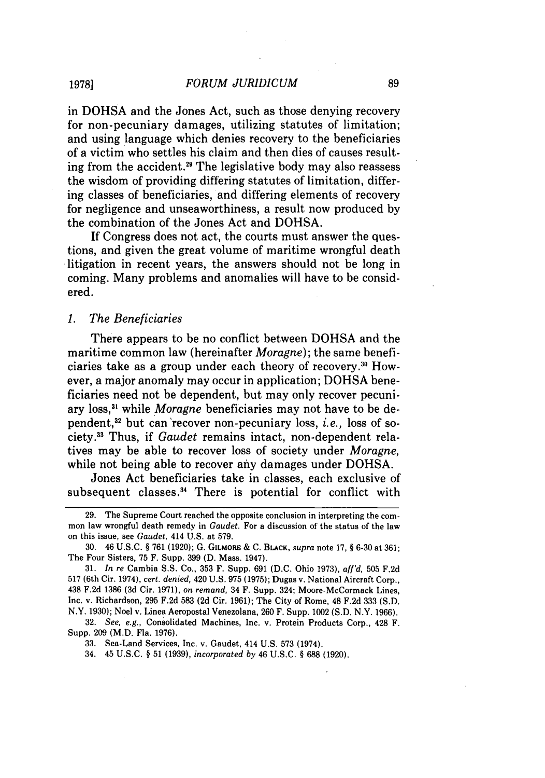in DOHSA and the Jones Act, such as those denying recovery for non-pecuniary damages, utilizing statutes of limitation; and using language which denies recovery to the beneficiaries of a victim who settles his claim and then dies of causes resulting from the accident.29 The legislative body may also reassess the wisdom of providing differing statutes of limitation, differing classes of beneficiaries, and differing elements of recovery for negligence and unseaworthiness, a result now produced by the combination of the Jones Act and DOHSA.

If Congress does not act, the courts must answer the questions, and given the great volume of maritime wrongful death litigation in recent years, the answers should not be long in coming. Many problems and anomalies will have to be considered.

#### *1. The Beneficiaries*

There appears to be no conflict between DOHSA and the maritime common law (hereinafter *Moragne);* the same beneficiaries take as a group under each theory of recovery.:"' However, a major anomaly may occur in application; DOHSA beneficiaries need not be dependent, but may only recover pecuniary loss,<sup>31</sup> while *Moragne* beneficiaries may not have to be dependent,<sup>32</sup> but can recover non-pecuniary loss, *i.e.*, loss of society.3 3 Thus, if *Gaudet* remains intact, non-dependent relatives may be able to recover loss of society under *Moragne,* while not being able to recover any damages under DOHSA.

Jones Act beneficiaries take in classes, each exclusive of subsequent classes.<sup>34</sup> There is potential for conflict with

32. *See, e.g.,* Consolidated Machines, Inc. v. Protein Products Corp., 428 F. Supp. 209 (M.D. Fla. 1976).

34. 45 U.S.C. § 51 (1939), *incorporated by* 46 U.S.C. § 688 (1920).

**1978]**

<sup>29.</sup> The Supreme Court reached the opposite conclusion in interpreting the common law wrongful death remedy in Gaudet. For a discussion of the status of the law on this issue, see Gaudet, 414 U.S. at 579.

<sup>30. 46</sup> U.S.C. § 761 (1920); G. GILMORE & C. BLACK, supra note 17, § 6-30 at 361; The Four Sisters, 75 F. Supp. 399 **(D.** Mass. 1947).

<sup>31.</sup> In re Cambia S.S. Co., 353 F. Supp. 691 (D.C. Ohio 1973), aff'd, 505 F.2d 517 (6th Cir. 1974), *cert. denied,* 420 U.S. 975 (1975); Dugas v. National Aircraft Corp., 438 F.2d 1386 **(3d** Cir. 1971), on *remand,* 34 F. Supp. 324; Moore-McCormack Lines, Inc. v. Richardson, 295 F.2d 583 (2d Cir. 1961); The City of Rome, 48 F.2d 333 (S.D. N.Y. 1930); Noel v. Linea Aeropostal Venezolana, 260 F. Supp. 1002 (S.D. N.Y. 1966).

<sup>33.</sup> Sea-Land Services, Inc. v. Gaudet, 414 U.S. 573 (1974).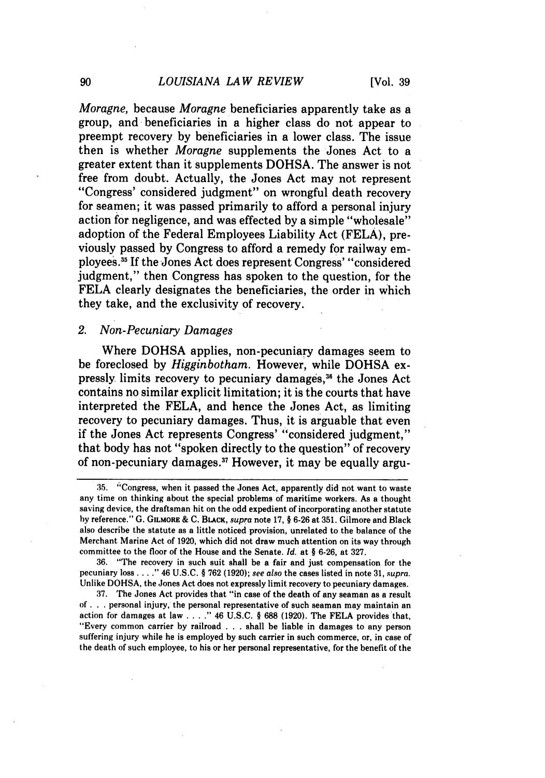*Moragne,* because *Moragne* beneficiaries apparently take as a group, and beneficiaries in a higher class do not appear to preempt recovery **by** beneficiaries in a lower class. The issue then is whether *Moragne* supplements the Jones Act to a greater extent than it supplements **DOHSA.** The answer is not free from doubt. Actually, the Jones Act may not represent "Congress' considered judgment" on wrongful death recovery for seamen; it was passed primarily to afford a personal injury action **for** negligence, and was effected **by** a simple "wholesale" adoption of the Federal Employees Liability Act **(FELA),** previously passed **by** Congress to afford a remedy for railway employees.<sup>35</sup> If the Jones Act does represent Congress' "considered judgment," then Congress has spoken to the question, for the **FELA** clearly designates the beneficiaries, the order in which they take, and the exclusivity of recovery.

#### *2. Non-Pecuniary Damages*

Where **DOHSA** applies, non-pecuniary damages seem to be foreclosed **by** *Higginbotham.* However, while **DOHSA** expressly limits recovery to pecuniary damages,<sup>36</sup> the Jones Act contains no similar explicit limitation; it is the courts that have interpreted the **FELA,** and hence the Jones Act, as limiting recovery to pecuniary damages. Thus, it is arguable that even if the Jones Act represents Congress' "considered judgment," that body has not "spoken directly to the question" of recovery of non-pecuniary damages. 37 However, it may be equally argu-

**36.** "The recovery in such suit shall be a fair and just compensation for the pecuniary loss **...."** 46 **U.S.C. § 762 (1920);** see *also* the cases listed in note **31,** *supra.* Unlike **DOHSA,** the Jones Act does not expressly limit recovery to pecuniary damages.

**37.** The Jones Act provides that "in case of the death of any seaman as a result **of. . .**personal injury, the personal representative of such seaman may maintain an action for damages at law **...."** 46 **U.S.C. § 688 (1920).** The **FELA** provides that, "Every common carrier **by** railroad **. ..**shall be liable in damages to any person suffering injury while he is employed **by** such carrier in such commerce, or, in case of the death of such employee, to his or her personal representative, for the benefit of the

**<sup>35.</sup>** 'Congress, when it passed the Jones Act, apparently did not want to waste any time on thinking about the special problems of maritime workers. As a thought saving device, the draftsman hit on the odd expedient of incorporating another statute **by** reference." **G. GILMORE & C. BLACK,** supra note **17, § 6-26** at **351.** Gilmore and Black also describe the statute as a little noticed provision, unrelated to the balance of the Merchant Marine Act of **1920,** which did not draw much attention on its way through committee to the floor of the House and the Senate. *Id.* **at § 6-26,** at **327.**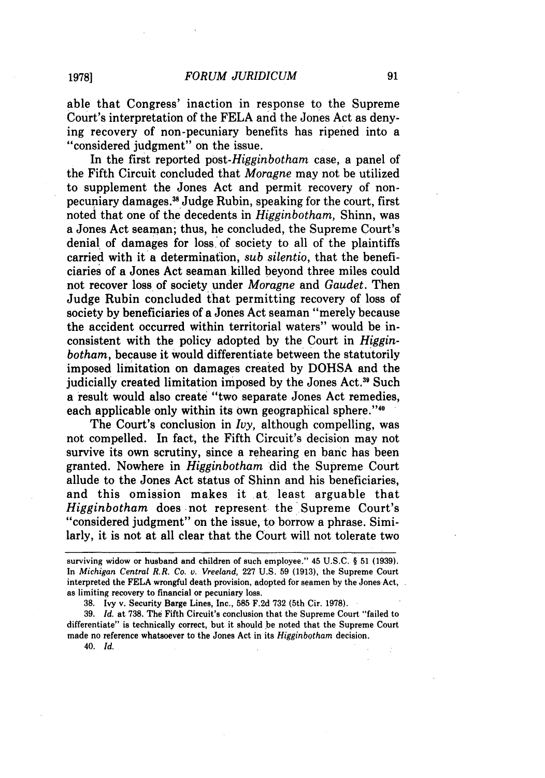able that Congress' inaction in response to the Supreme Court's interpretation of the FELA and the Jones Act as denying recovery of non-pecuniary benefits has ripened into a "considered judgment" on the issue.

In the first reported *post-Higginbotham* case, a panel of the Fifth Circuit concluded that *Moragne* may not be utilized to supplement the Jones Act and permit recovery of nonpecuniary damages." Judge Rubin, speaking for the court, first noted that one of the decedents in *Higginbotham,* Shinn, was a Jones Act seaman; thus, he concluded, the Supreme Court's denial of damages for loss, of society to all of the plaintiffs carried with it a determination, *sub silentio,* that the beneficiaries of a Jones Act seaman killed beyond three miles could not recover loss of society under *Moragne* and *Gaudet.* Then Judge Rubin concluded that permitting recovery of loss of society **by** beneficiaries of a Jones Act seaman "merely because the accident occurred within territorial waters" would be inconsistent with the policy adopted **by** the Court in *Higginbotham,* because it would differentiate between the statutorily imposed limitation on damages created **by DOHSA** and the judicially created limitation imposed **by** the Jones Act.39 Such a result would also create "two separate Jones Act remedies, each applicable only within its own geographical sphere."<sup>40</sup>

The Court's conclusion in *Ivy,* although compelling, was not compelled. In fact, the Fifth Circuit's decision may not survive its own scrutiny, since a rehearing en banc has been granted. Nowhere in *Higginbotham* did the Supreme Court allude to the Jones Act status of Shinn and his beneficiaries, and this omission makes it at least arguable that *Higginbotham* does not represent the Supreme Court's "considered judgment" on the issue, to borrow a phrase. Similarly, it is not at all clear that the Court will not tolerate two

38. Ivy v. Security Barge Lines, Inc., 585 F.2d 732 (5th Cir. 1978).

39. *Id.* at 738. The Fifth Circuit's conclusion that the Supreme Court "failed to differentiate" is technically correct, but it should be noted that the Supreme Court made no reference whatsoever to the Jones Act in its *Higginbotham* decision.

40. *Id.*

surviving widow or husband and children of such employee." 45 **U.S.C.** § **51 (1939).** In *Michigan Central R.R. Co. v. Vreeland,* 227 U.S. 59 (1913), the Supreme Court interpreted the FELA wrongful death provision, adopted for seamen by the Jones Act, as limiting recovery to financial or pecuniary loss.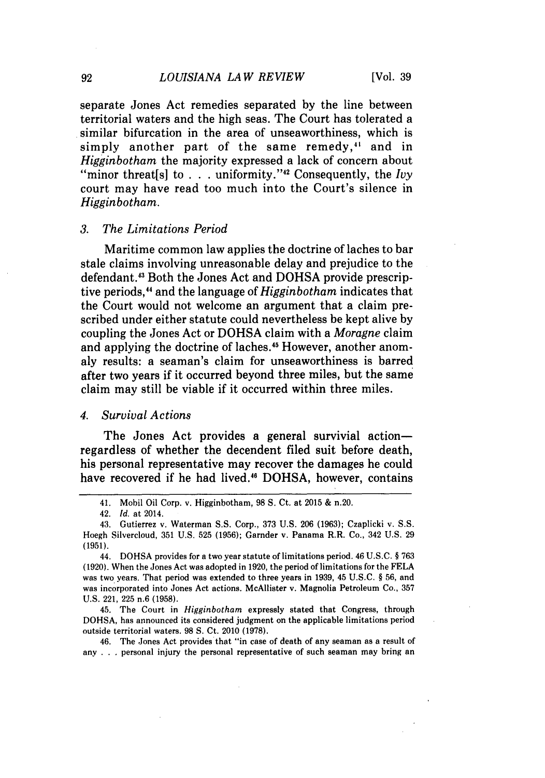separate Jones Act remedies separated by the line between territorial waters and the high seas. The Court has tolerated a similar bifurcation in the area of unseaworthiness, which is simply another part of the same remedy,<sup>41</sup> and in *Higginbotham* the majority expressed a lack of concern about "minor threat<sup>[s]</sup> to . . . uniformity."<sup>42</sup> Consequently, the *Ivy* court may have read too much into the Court's silence in *Higginbotham.*

#### *3. The Limitations Period*

Maritime common law applies the doctrine of laches to bar stale claims involving unreasonable delay and prejudice to the defendant.<sup>43</sup> Both the Jones Act and DOHSA provide prescriptive periods," and the language of *Higginbotham* indicates that the Court would not welcome an argument that a claim prescribed under either statute could nevertheless be kept alive by coupling the Jones Act or DOHSA claim with a *Moragne* claim and applying the doctrine of laches.<sup>45</sup> However, another anomaly results: a seaman's claim for unseaworthiness is barred after two years if it occurred beyond three miles, but the same claim may still be viable if it occurred within three miles.

#### *4. Survival Actions*

The Jones Act provides a general survivial actionregardless of whether the decendent filed suit before death, his personal representative may recover the damages he could have recovered if he had lived.<sup>46</sup> DOHSA, however, contains

45. The Court in *Higginbotham* expressly stated that Congress, through DOHSA, has announced its considered judgment on the applicable limitations period outside territorial waters. 98 S. Ct. 2010 (1978).

46. The Jones Act provides that "in case of death of any seaman as a result of any . . . personal injury the personal representative of such seaman may bring an

<sup>41.</sup> Mobil Oil Corp. v. Higginbotham, 98 S. Ct. at 2015 & n.20.

<sup>42.</sup> Id. at 2014.

<sup>43.</sup> Gutierrez v. Waterman S.S. Corp., 373 U.S. 206 (1963); Czaplicki v. S.S. Hoegh Silvercloud, 351 U.S. 525 (1956); Garnder v. Panama R.R. Co., 342 U.S. 29 (1951).

<sup>44.</sup> DOHSA provides for a two year statute of limitations period. 46 U.S.C. § 763 (1920). When the Jones Act was adopted in 1920, the period of limitations for the FELA was two years. That period was extended to three years in 1939, 45 U.S.C. § 56, and was incorporated into Jones Act actions. McAllister v. Magnolia Petroleum Co., 357 U.S. 221, 225 n.6 (1958).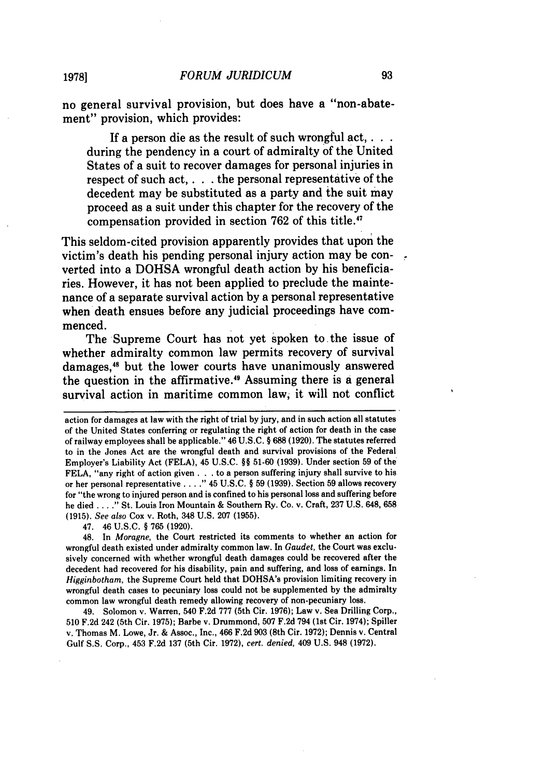no general survival provision, but does have a "non-abatement" provision, which provides:

If a person die as the result of such wrongful act, . . . during the pendency in a court of admiralty of the United States of a suit to recover damages for personal injuries in respect of such act, **. . .** the personal representative of the decedent may be substituted as a party and the suit may proceed as a suit under this chapter for the recovery of the compensation provided in section **762** of this title.47

This seldom-cited provision apparently provides that upon the victim's death his pending personal injury action may be converted into a **DOHSA** wrongful death action **by** his beneficiaries. However, it has not been applied to preclude the maintenance of a separate survival action **by** a personal representative when death ensues before any judicial proceedings have commenced.

The Supreme Court has not yet spoken to the issue of whether admiralty common law permits recovery of survival damages,<sup>48</sup> but the lower courts have unanimously answered the question in the affirmative.<sup>49</sup> Assuming there is a general survival action in maritime common law, it will not conflict

47. 46 U.S.C. § 765 (1920).

48. In *Moragne,* the Court restricted its comments to whether an action for wrongful death existed under admiralty common law. In *Gaudet,* the Court was exclusively concerned with whether wrongful death damages could be recovered after the decedent had recovered for his disability, pain and suffering, and loss of earnings. In *Higginbotham,* the Supreme Court held that DOHSA's provision limiting recovery in wrongful death cases to pecuniary loss could not be supplemented by the admiralty common law wrongful death remedy allowing recovery of non-pecuniary loss.

49. Solomon v. Warren, 540 F.2d 777 (5th Cir. 1976); Law v. Sea Drilling Corp., 510 F.2d 242 (5th Cir. 1975); Barbe v. Drummond, 507 F.2d 794 (1st Cir. 1974); Spiller v. Thomas M. Lowe, Jr. & Assoc., Inc., 466 F.2d 903 (8th Cir. 1972); Dennis v. Central Gulf **S.S.** Corp., 453 F.2d 137 (5th Cir. 1972), *cert. denied,* 409 U.S. 948 (1972).

**1978]**

action for damages at law with the right of trial by jury, and in such action all statutes of the United States conferring or regulating the right of action for death in the case of railway employees shall be applicable." 46 U.S.C. § 688 (1920). The statutes referred to in the Jones Act are the wrongful death and survival provisions of the Federal Employer's Liability Act **(FELA),** 45 U.S.C. §§ 51-60 (1939). Under section 59 of the FELA, "any right of action given **. . .** to a person suffering injury shall survive to his or her personal representative . **. . ."** 45 U.S.C. § 59 (1939). Section 59 allows recovery for "the wrong to injured person and is confined to his personal loss and suffering before he died . **. . ."** St. Louis Iron Mountain & Southern Ry. Co. v. Craft, 237 U.S. 648, **658** (1915). *See also* Cox v. Roth, 348 U.S. 207 (1955).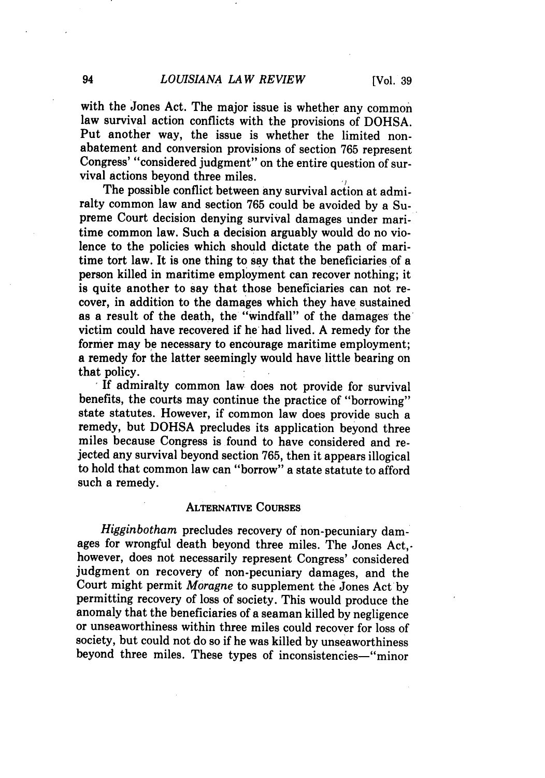with the Jones Act. The major issue is whether any common law survival action conflicts with the provisions of DOHSA. Put another way, the issue is whether the limited nonabatement and conversion provisions of section 765 represent Congress' "considered judgment" on the entire question of survival actions beyond three miles.

The possible conflict between any survival action at admiralty common law and section 765 could be avoided by a Supreme Court decision denying survival damages under maritime common law. Such a decision arguably would do no violence to the policies which should dictate the path of maritime tort law. It is one thing to say that the beneficiaries of a person killed in maritime employment can recover nothing; it is quite another to say that those beneficiaries can not recover, in addition to the damages which they have sustained as a result of the death, the "windfall" of the damages the ' victim could have recovered if he had lived. A remedy for the former may be necessary to encourage maritime employment: a remedy for the latter seemingly would have little bearing on

that policy. **IIf** admiralty common law does not provide for survival benefits, the courts may continue the practice of "borrowing" state statutes. However, if common law does provide such a remedy, but DOHSA precludes its application beyond three miles because Congress is found to have considered and rejected any survival beyond section 765, then it appears illogical to hold that common law can "borrow" a state statute to afford such a remedy.

#### **ALTERNATIVE COURSES**

*Higginbotham* precludes recovery of non-pecuniary damages for wrongful death beyond three miles. The Jones Act, however, does not necessarily represent Congress' considered judgment on recovery of non-pecuniary damages, and the Court might permit *Moragne* to supplement the Jones Act **by** permitting recovery of loss of society. This would produce the anomaly that the beneficiaries of a seaman killed **by** negligence or unseaworthiness within three miles could recover for loss of society, but could not do so if he was killed **by** unseaworthiness beyond three miles. These types of inconsistencies-"minor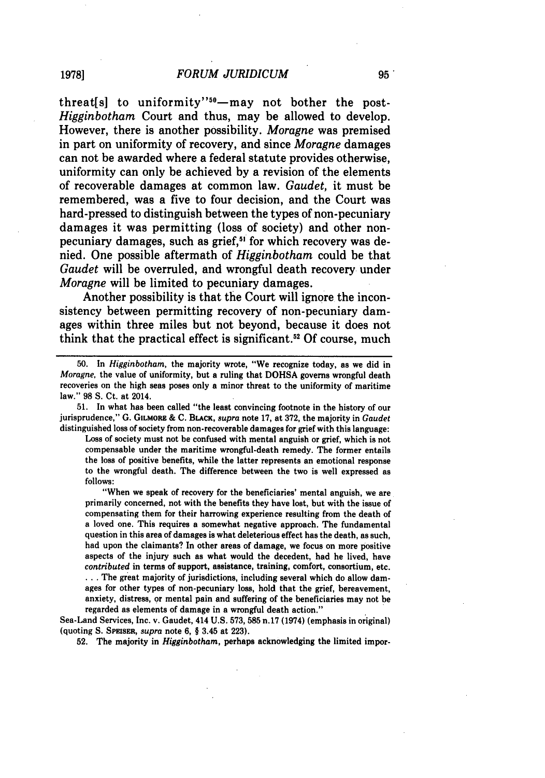threat[s] to uniformity"<sup>50</sup>—may not bother the post-*Higginbotham* Court and thus, may be allowed to develop. However, there is another possibility. *Moragne* was premised in part on uniformity of recovery, and since *Moragne* damages can not be awarded where a federal statute provides otherwise, uniformity can only be achieved **by** a revision of the elements of recoverable damages at common law. *Gaudet,* it must be remembered, was a five to four decision, and the Court was hard-pressed to distinguish between the types of non-pecuniary damages it was permitting (loss of society) and other nonpecuniary damages, such as grief,<sup>51</sup> for which recovery was denied. One possible aftermath of *Higginbotham* could be that *Gaudet* will be overruled, and wrongful death recovery under *Moragne* will be limited to pecuniary damages.

Another possibility is that the Court will ignore the inconsistency between permitting recovery of non-pecuniary damages within three miles but not beyond, because it does not think that the practical effect is significant." **Of** course, much

**50.** In *Higginbotham,* the majority wrote, "We recognize today, as we did in *Moragne,* the value of uniformity, but a ruling that **DOHSA** governs wrongful death recoveries on the high seas poses only a minor threat to the uniformity of maritime law." **98 S.** Ct. at 2014.

**51.** In what has been called "the least convincing footnote in the history of our jurisprudence," **G. GILMORE & C.** BLACK, *supra* note **17,** at **372,** the majority in *Gaudet* distinguished loss of society from non-recoverable damages for grief with this language:

Loss of society must not **be** confused with mental anguish or grief, which is not compensable under the maritime wrongful-death remedy. The former entails the loss of positive benefits, while the latter represents an emotional response to the wrongful death. The difference between the two is well expressed as **follows:**

"When we speak of recovery for the beneficiaries' mental anguish, we are primarily concerned, not with the benefits they have lost, but with the issue of compensating them for their harrowing experience resulting from the death of a loved one. This requires a somewhat negative approach. The fundamental question in this area of damages is what deleterious effect has the death, as such, had upon the claimants? In other areas of damage, we focus on more positive aspects of the injury such as what would the decedent, had he lived, have *contributed* in terms of support, assistance, training, comfort, consortium, etc. **...** The great majority of jurisdictions, including several which do allow damages for other types of non-pecuniary loss, hold that the grief, bereavement, anxiety, distress, or mental pain and suffering of the beneficiaries may not be regarded as elements of damage in a wrongful death action."

Sea-Land Services, Inc. v. Gaudet, 414 **U.S. 573, 585** n.17 (1974) (emphasis in original) (quoting **S.** SPEISER, *supra* note **6,** § 3.45 at **223).**

**52.** The majority in *Higginbotham,* perhaps acknowledging the limited impor-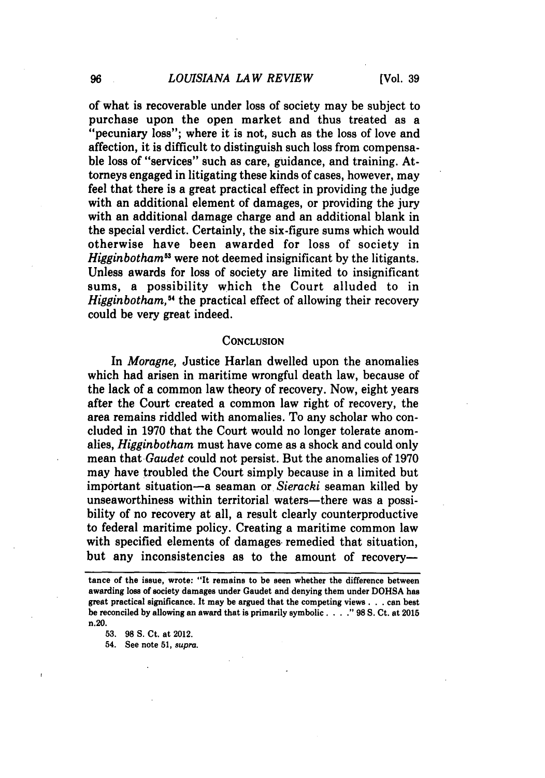of what is recoverable under loss of society may be subject to purchase upon the open market and thus treated as a "pecuniary loss"; where it is not, such as the loss of love and affection, it is difficult to distinguish such loss from compensable loss of "services" such as care, guidance, and training. Attorneys engaged in litigating these kinds of cases, however, may feel that there is a great practical effect in providing the judge with an additional element of damages, or providing the jury with an additional damage charge and an additional blank in the special verdict. Certainly, the six-figure sums which would otherwise have been awarded for loss of society in *Higginbotham53* were not deemed insignificant by the litigants. Unless awards for loss of society are limited to insignificant sums, a possibility which the Court alluded to in *Higginbotham*,<sup>54</sup> the practical effect of allowing their recovery could be very great indeed.

#### **CONCLUSION**

In *Moragne,* Justice Harlan dwelled upon the anomalies which had arisen in maritime wrongful death law, because of the lack of a common law theory of recovery. Now, eight years after the Court created a common law right of recovery, the area remains riddled with anomalies. To any scholar who concluded in **1970** that the Court would no longer tolerate anomalies, *Higginbotham* must have come as a shock and could only mean that *Gaudet* could not persist. But the anomalies of **1970** may have troubled the Court simply because in a limited but important situation-a seaman or *Sieracki* seaman killed **by** unseaworthiness within territorial waters—there was a possibility of no recovery at all, a result clearly counterproductive to federal maritime policy. Creating a maritime common law with specified elements of damages remedied that situation, but any inconsistencies as to the amount of recovery-

**53. 98 S.** Ct. at 2012.

54. See note **51,** supra.

tance of the issue, wrote: "It remains to be seen whether the difference between awarding loss of society damages under Gaudet and denying them under **DOHSA** has great practical significance. It may be argued that the competing views. **. .** can best be reconciled **by** allowing an award that is primarily symbolic ... " **98 S.** Ct. at **2015** n.20.